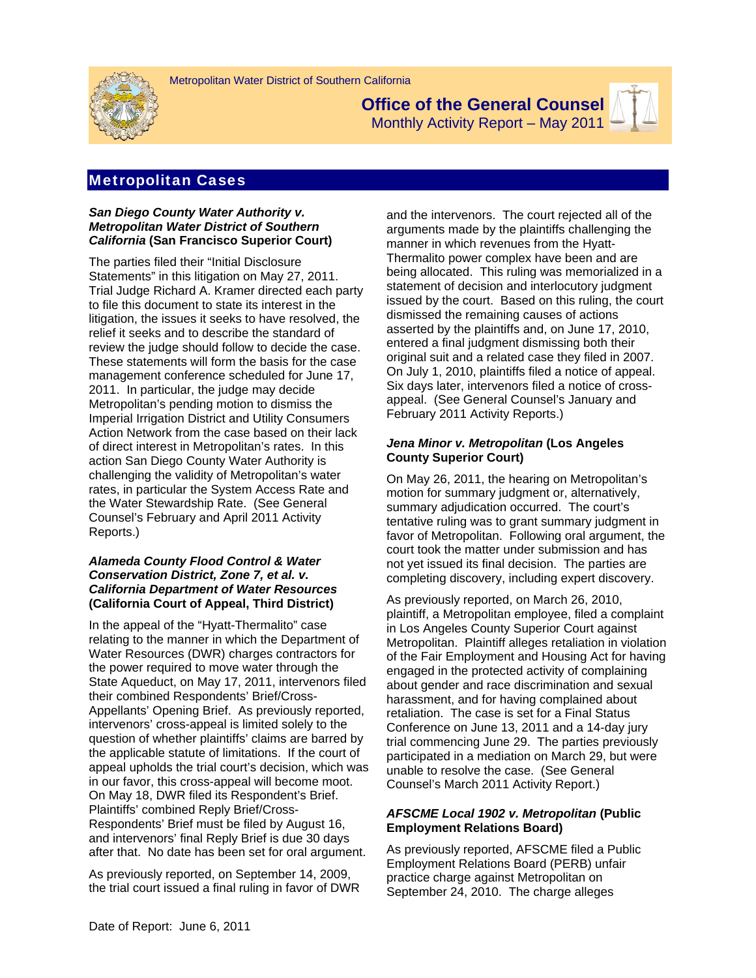



**Office of the General Counsel**  Monthly Activity Report – May 2011



# Metropolitan Cases

#### *San Diego County Water Authority v. Metropolitan Water District of Southern California* **(San Francisco Superior Court)**

The parties filed their "Initial Disclosure Statements" in this litigation on May 27, 2011. Trial Judge Richard A. Kramer directed each party to file this document to state its interest in the litigation, the issues it seeks to have resolved, the relief it seeks and to describe the standard of review the judge should follow to decide the case. These statements will form the basis for the case management conference scheduled for June 17, 2011. In particular, the judge may decide Metropolitan's pending motion to dismiss the Imperial Irrigation District and Utility Consumers Action Network from the case based on their lack of direct interest in Metropolitan's rates. In this action San Diego County Water Authority is challenging the validity of Metropolitan's water rates, in particular the System Access Rate and the Water Stewardship Rate. (See General Counsel's February and April 2011 Activity Reports.)

### *Alameda County Flood Control & Water Conservation District, Zone 7, et al. v. California Department of Water Resources*  **(California Court of Appeal, Third District)**

In the appeal of the "Hyatt-Thermalito" case relating to the manner in which the Department of Water Resources (DWR) charges contractors for the power required to move water through the State Aqueduct, on May 17, 2011, intervenors filed their combined Respondents' Brief/Cross-Appellants' Opening Brief. As previously reported, intervenors' cross-appeal is limited solely to the question of whether plaintiffs' claims are barred by the applicable statute of limitations. If the court of appeal upholds the trial court's decision, which was in our favor, this cross-appeal will become moot. On May 18, DWR filed its Respondent's Brief. Plaintiffs' combined Reply Brief/Cross-Respondents' Brief must be filed by August 16, and intervenors' final Reply Brief is due 30 days after that. No date has been set for oral argument.

As previously reported, on September 14, 2009, the trial court issued a final ruling in favor of DWR and the intervenors. The court rejected all of the arguments made by the plaintiffs challenging the manner in which revenues from the Hyatt-Thermalito power complex have been and are being allocated. This ruling was memorialized in a statement of decision and interlocutory judgment issued by the court. Based on this ruling, the court dismissed the remaining causes of actions asserted by the plaintiffs and, on June 17, 2010, entered a final judgment dismissing both their original suit and a related case they filed in 2007. On July 1, 2010, plaintiffs filed a notice of appeal. Six days later, intervenors filed a notice of crossappeal. (See General Counsel's January and February 2011 Activity Reports.)

## *Jena Minor v. Metropolitan* **(Los Angeles County Superior Court)**

On May 26, 2011, the hearing on Metropolitan's motion for summary judgment or, alternatively, summary adjudication occurred. The court's tentative ruling was to grant summary judgment in favor of Metropolitan. Following oral argument, the court took the matter under submission and has not yet issued its final decision. The parties are completing discovery, including expert discovery.

As previously reported, on March 26, 2010, plaintiff, a Metropolitan employee, filed a complaint in Los Angeles County Superior Court against Metropolitan. Plaintiff alleges retaliation in violation of the Fair Employment and Housing Act for having engaged in the protected activity of complaining about gender and race discrimination and sexual harassment, and for having complained about retaliation. The case is set for a Final Status Conference on June 13, 2011 and a 14-day jury trial commencing June 29. The parties previously participated in a mediation on March 29, but were unable to resolve the case. (See General Counsel's March 2011 Activity Report.)

### *AFSCME Local 1902 v. Metropolitan* **(Public Employment Relations Board)**

As previously reported, AFSCME filed a Public Employment Relations Board (PERB) unfair practice charge against Metropolitan on September 24, 2010. The charge alleges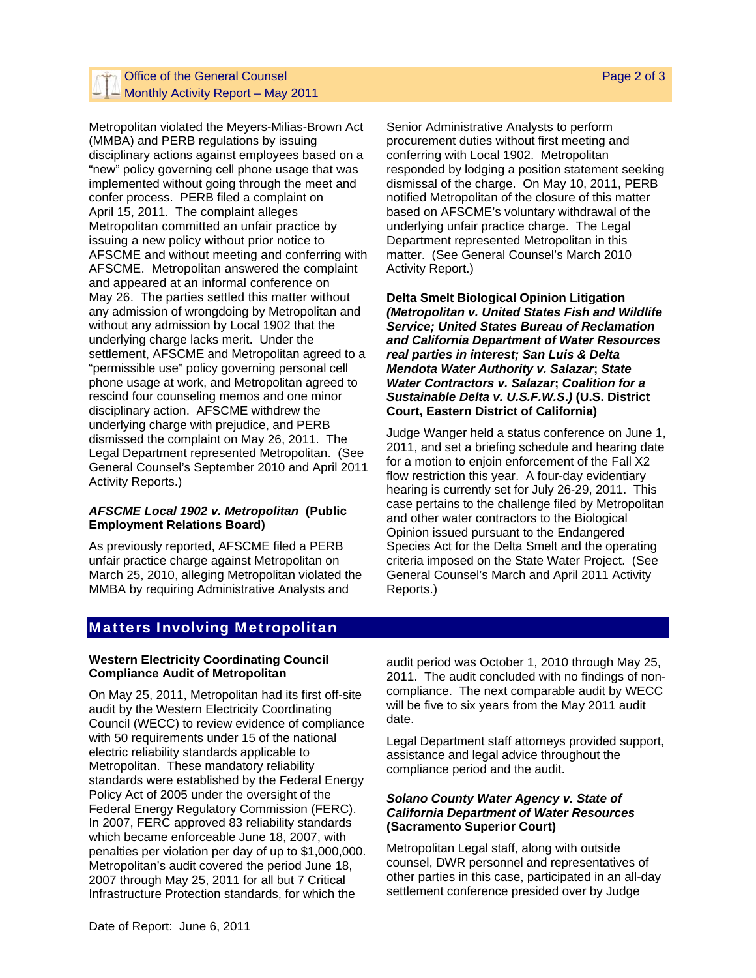## Office of the General Counsel  $-$  Monthly Activity Report – May 2011

Metropolitan violated the Meyers-Milias-Brown Act (MMBA) and PERB regulations by issuing disciplinary actions against employees based on a "new" policy governing cell phone usage that was implemented without going through the meet and confer process. PERB filed a complaint on April 15, 2011. The complaint alleges Metropolitan committed an unfair practice by issuing a new policy without prior notice to AFSCME and without meeting and conferring with AFSCME. Metropolitan answered the complaint and appeared at an informal conference on May 26. The parties settled this matter without any admission of wrongdoing by Metropolitan and without any admission by Local 1902 that the underlying charge lacks merit. Under the settlement, AFSCME and Metropolitan agreed to a "permissible use" policy governing personal cell phone usage at work, and Metropolitan agreed to rescind four counseling memos and one minor disciplinary action. AFSCME withdrew the underlying charge with prejudice, and PERB dismissed the complaint on May 26, 2011. The Legal Department represented Metropolitan. (See General Counsel's September 2010 and April 2011 Activity Reports.)

### *AFSCME Local 1902 v. Metropolitan* **(Public Employment Relations Board)**

As previously reported, AFSCME filed a PERB unfair practice charge against Metropolitan on March 25, 2010, alleging Metropolitan violated the MMBA by requiring Administrative Analysts and

Senior Administrative Analysts to perform procurement duties without first meeting and conferring with Local 1902. Metropolitan responded by lodging a position statement seeking dismissal of the charge. On May 10, 2011, PERB notified Metropolitan of the closure of this matter based on AFSCME's voluntary withdrawal of the underlying unfair practice charge. The Legal Department represented Metropolitan in this matter. (See General Counsel's March 2010 Activity Report.)

**Delta Smelt Biological Opinion Litigation**  *(Metropolitan v. United States Fish and Wildlife Service; United States Bureau of Reclamation and California Department of Water Resources real parties in interest; San Luis & Delta Mendota Water Authority v. Salazar***;** *State Water Contractors v. Salazar***;** *Coalition for a Sustainable Delta v. U.S.F.W.S***.***)* **(U.S. District Court, Eastern District of California)** 

Judge Wanger held a status conference on June 1, 2011, and set a briefing schedule and hearing date for a motion to enjoin enforcement of the Fall X2 flow restriction this year. A four-day evidentiary hearing is currently set for July 26-29, 2011. This case pertains to the challenge filed by Metropolitan and other water contractors to the Biological Opinion issued pursuant to the Endangered Species Act for the Delta Smelt and the operating criteria imposed on the State Water Project. (See General Counsel's March and April 2011 Activity Reports.)

# Matters Involving Metropolitan

#### **Western Electricity Coordinating Council Compliance Audit of Metropolitan**

On May 25, 2011, Metropolitan had its first off-site audit by the Western Electricity Coordinating Council (WECC) to review evidence of compliance with 50 requirements under 15 of the national electric reliability standards applicable to Metropolitan. These mandatory reliability standards were established by the Federal Energy Policy Act of 2005 under the oversight of the Federal Energy Regulatory Commission (FERC). In 2007, FERC approved 83 reliability standards which became enforceable June 18, 2007, with penalties per violation per day of up to \$1,000,000. Metropolitan's audit covered the period June 18, 2007 through May 25, 2011 for all but 7 Critical Infrastructure Protection standards, for which the

audit period was October 1, 2010 through May 25, 2011. The audit concluded with no findings of noncompliance. The next comparable audit by WECC will be five to six years from the May 2011 audit date.

Legal Department staff attorneys provided support, assistance and legal advice throughout the compliance period and the audit.

### *Solano County Water Agency v. State of California Department of Water Resources*  **(Sacramento Superior Court)**

Metropolitan Legal staff, along with outside counsel, DWR personnel and representatives of other parties in this case, participated in an all-day settlement conference presided over by Judge